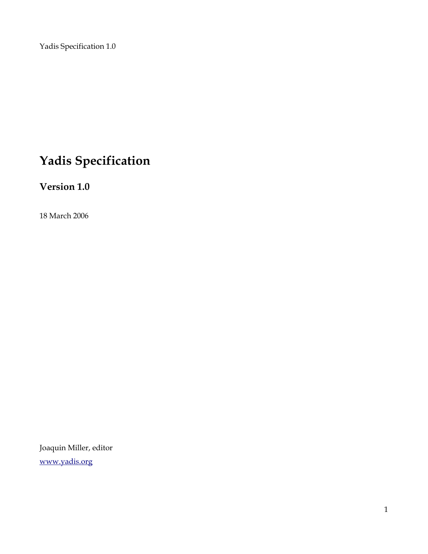# **Yadis Specification**

**Version 1.0**

18 March 2006

Joaquin Miller, editor [www.yadis.org](http://www.yadis.org/)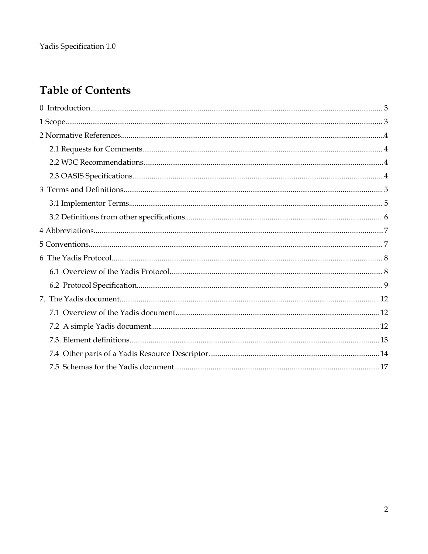# **Table of Contents**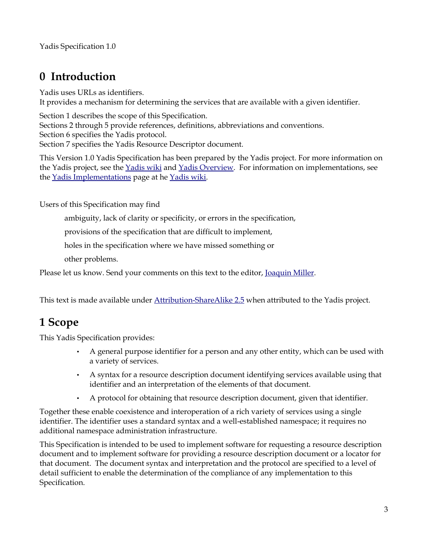# **0 Introduction**

Yadis uses URLs as identifiers. It provides a mechanism for determining the services that are available with a given identifier.

Section 1 describes the scope of this Specification. Sections 2 through 5 provide references, definitions, abbreviations and conventions. Section 6 specifies the Yadis protocol. Section 7 specifies the Yadis Resource Descriptor document.

This Version 1.0 Yadis Specification has been prepared by the Yadis project. For more information on the Yadis project, see the [Yadis wiki](http://yadis.org/wiki/) and [Yadis Overview](http://yadis.org/wiki/Main_Page#YADIS_Overview). For information on implementations, see the [Yadis Implementations](http://yadis.org/wiki/YADIS_Implementations) page at he [Yadis wiki.](http://yadis.org/wiki/)

Users of this Specification may find

ambiguity, lack of clarity or specificity, or errors in the specification,

provisions of the specification that are difficult to implement,

holes in the specification where we have missed something or

other problems.

Please let us know. Send your comments on this text to the editor, [Joaquin Miller](http://yadis.org/wiki/User:Joaquin).

This text is made available under [Attribution-ShareAlike 2.5](http://creativecommons.org/licenses/by-sa/2.5/) when attributed to the Yadis project.

# **1 Scope**

This Yadis Specification provides:

- A general purpose identifier for a person and any other entity, which can be used with a variety of services.
- A syntax for a resource description document identifying services available using that identifier and an interpretation of the elements of that document.
- A protocol for obtaining that resource description document, given that identifier.

Together these enable coexistence and interoperation of a rich variety of services using a single identifier. The identifier uses a standard syntax and a well-established namespace; it requires no additional namespace administration infrastructure.

This Specification is intended to be used to implement software for requesting a resource description document and to implement software for providing a resource description document or a locator for that document. The document syntax and interpretation and the protocol are specified to a level of detail sufficient to enable the determination of the compliance of any implementation to this Specification.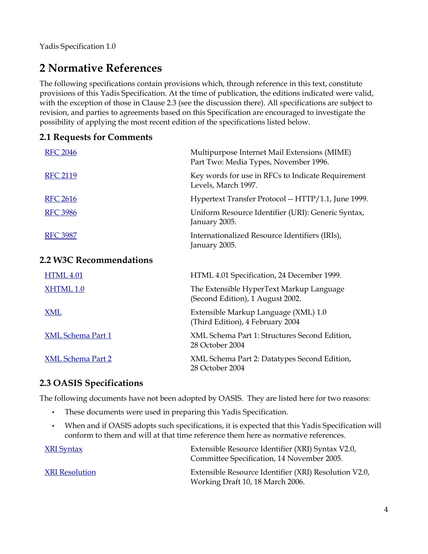# **2 Normative References**

The following specifications contain provisions which, through reference in this text, constitute provisions of this Yadis Specification. At the time of publication, the editions indicated were valid, with the exception of those in Clause 2.3 (see the discussion there). All specifications are subject to revision, and parties to agreements based on this Specification are encouraged to investigate the possibility of applying the most recent edition of the specifications listed below.

#### **2.1 Requests for Comments**

| <b>RFC 2046</b>                | Multipurpose Internet Mail Extensions (MIME)<br>Part Two: Media Types, November 1996. |
|--------------------------------|---------------------------------------------------------------------------------------|
| <b>RFC 2119</b>                | Key words for use in RFCs to Indicate Requirement<br>Levels, March 1997.              |
| <b>RFC 2616</b>                | Hypertext Transfer Protocol -- HTTP/1.1, June 1999.                                   |
| <b>RFC 3986</b>                | Uniform Resource Identifier (URI): Generic Syntax,<br>January 2005.                   |
| <b>RFC 3987</b>                | Internationalized Resource Identifiers (IRIs),<br>January 2005.                       |
| <b>2.2 W3C Recommendations</b> |                                                                                       |
| <b>HTML 4.01</b>               | HTML 4.01 Specification, 24 December 1999.                                            |
| XHTML 1.0                      | The Extensible HyperText Markup Language<br>(Second Edition), 1 August 2002.          |
| <b>XML</b>                     | Extensible Markup Language (XML) 1.0<br>(Third Edition), 4 February 2004              |
| <b>XML Schema Part 1</b>       | XML Schema Part 1: Structures Second Edition,<br>28 October 2004                      |
| <b>XML Schema Part 2</b>       | XML Schema Part 2: Datatypes Second Edition,<br>28 October 2004                       |

#### **2.3 OASIS Specifications**

The following documents have not been adopted by OASIS. They are listed here for two reasons:

- These documents were used in preparing this Yadis Specification.
- When and if OASIS adopts such specifications, it is expected that this Yadis Specification will conform to them and will at that time reference them here as normative references.

| <b>XRI Syntax</b>     | Extensible Resource Identifier (XRI) Syntax V2.0,<br>Committee Specification, 14 November 2005. |
|-----------------------|-------------------------------------------------------------------------------------------------|
| <b>XRI</b> Resolution | Extensible Resource Identifier (XRI) Resolution V2.0,<br>Working Draft 10, 18 March 2006.       |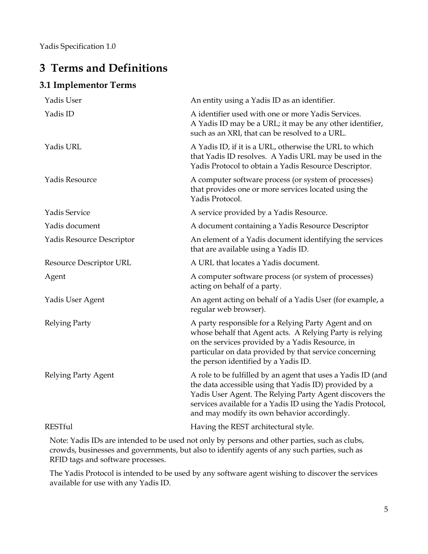# **3 Terms and Definitions**

### **3.1 Implementor Terms**

| Yadis User                 | An entity using a Yadis ID as an identifier.                                                                                                                                                                                                                                                     |
|----------------------------|--------------------------------------------------------------------------------------------------------------------------------------------------------------------------------------------------------------------------------------------------------------------------------------------------|
| Yadis ID                   | A identifier used with one or more Yadis Services.<br>A Yadis ID may be a URL; it may be any other identifier,<br>such as an XRI, that can be resolved to a URL.                                                                                                                                 |
| Yadis URL                  | A Yadis ID, if it is a URL, otherwise the URL to which<br>that Yadis ID resolves. A Yadis URL may be used in the<br>Yadis Protocol to obtain a Yadis Resource Descriptor.                                                                                                                        |
| Yadis Resource             | A computer software process (or system of processes)<br>that provides one or more services located using the<br>Yadis Protocol.                                                                                                                                                                  |
| Yadis Service              | A service provided by a Yadis Resource.                                                                                                                                                                                                                                                          |
| Yadis document             | A document containing a Yadis Resource Descriptor                                                                                                                                                                                                                                                |
| Yadis Resource Descriptor  | An element of a Yadis document identifying the services<br>that are available using a Yadis ID.                                                                                                                                                                                                  |
| Resource Descriptor URL    | A URL that locates a Yadis document.                                                                                                                                                                                                                                                             |
| Agent                      | A computer software process (or system of processes)<br>acting on behalf of a party.                                                                                                                                                                                                             |
| Yadis User Agent           | An agent acting on behalf of a Yadis User (for example, a<br>regular web browser).                                                                                                                                                                                                               |
| <b>Relying Party</b>       | A party responsible for a Relying Party Agent and on<br>whose behalf that Agent acts. A Relying Party is relying<br>on the services provided by a Yadis Resource, in<br>particular on data provided by that service concerning<br>the person identified by a Yadis ID.                           |
| <b>Relying Party Agent</b> | A role to be fulfilled by an agent that uses a Yadis ID (and<br>the data accessible using that Yadis ID) provided by a<br>Yadis User Agent. The Relying Party Agent discovers the<br>services available for a Yadis ID using the Yadis Protocol,<br>and may modify its own behavior accordingly. |
| <b>RESTful</b>             | Having the REST architectural style.                                                                                                                                                                                                                                                             |

Note: Yadis IDs are intended to be used not only by persons and other parties, such as clubs, crowds, businesses and governments, but also to identify agents of any such parties, such as RFID tags and software processes.

The Yadis Protocol is intended to be used by any software agent wishing to discover the services available for use with any Yadis ID.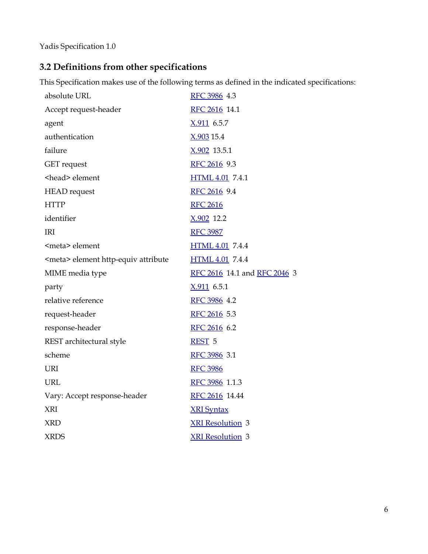## **3.2 Definitions from other specifications**

This Specification makes use of the following terms as defined in the indicated specifications:

| absolute URL                         | RFC 3986 4.3                 |
|--------------------------------------|------------------------------|
| Accept request-header                | RFC 2616 14.1                |
| agent                                | $X.911$ 6.5.7                |
| authentication                       | X.90315.4                    |
| failure                              | $X.902$ 13.5.1               |
| <b>GET</b> request                   | RFC 2616 9.3                 |
| <head> element</head>                | HTML 4.01 7.4.1              |
| <b>HEAD</b> request                  | RFC 2616 9.4                 |
| <b>HTTP</b>                          | <b>RFC 2616</b>              |
| identifier                           | X.902 12.2                   |
| <b>IRI</b>                           | <b>RFC 3987</b>              |
| <meta/> element                      | HTML 4.01 7.4.4              |
| <meta/> element http-equiv attribute | HTML 4.01 7.4.4              |
| MIME media type                      | RFC 2616 14.1 and RFC 2046 3 |
| party                                | $X.911$ 6.5.1                |
| relative reference                   | RFC 3986 4.2                 |
| request-header                       | RFC 2616 5.3                 |
| response-header                      | RFC 2616 6.2                 |
| REST architectural style             | REST <sub>5</sub>            |
| scheme                               | RFC 3986 3.1                 |
| URI                                  | <b>RFC 3986</b>              |
| <b>URL</b>                           | RFC 3986 1.1.3               |
| Vary: Accept response-header         | RFC 2616 14.44               |
| <b>XRI</b>                           | <b>XRI Syntax</b>            |
| <b>XRD</b>                           | <b>XRI</b> Resolution 3      |
| <b>XRDS</b>                          | <b>XRI</b> Resolution 3      |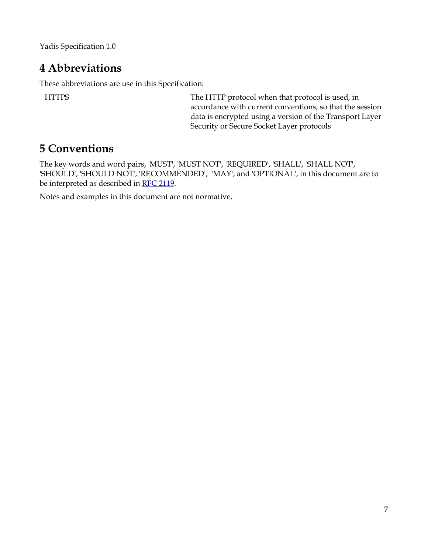# **4 Abbreviations**

These abbreviations are use in this Specification:

HTTPS The HTTP protocol when that protocol is used, in accordance with current conventions, so that the session data is encrypted using a version of the Transport Layer Security or Secure Socket Layer protocols

# **5 Conventions**

The key words and word pairs, 'MUST', 'MUST NOT', 'REQUIRED', 'SHALL', 'SHALL NOT', 'SHOULD', 'SHOULD NOT', 'RECOMMENDED', 'MAY', and 'OPTIONAL', in this document are to be interpreted as described in [RFC 2119](http://www.ietf.org/rfc/rfc2119.txt).

Notes and examples in this document are not normative.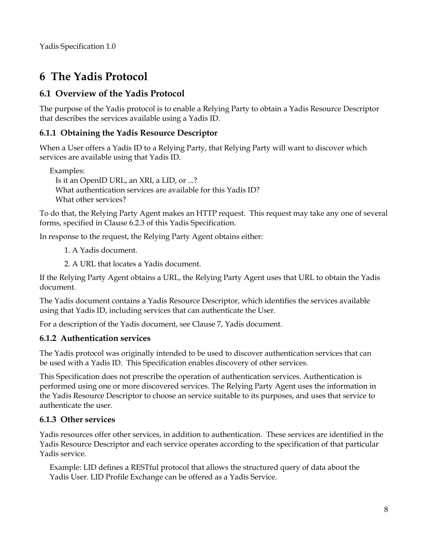# **6 The Yadis Protocol**

### **6.1 Overview of the Yadis Protocol**

The purpose of the Yadis protocol is to enable a Relying Party to obtain a Yadis Resource Descriptor that describes the services available using a Yadis ID.

#### **6.1.1 Obtaining the Yadis Resource Descriptor**

When a User offers a Yadis ID to a Relying Party, that Relying Party will want to discover which services are available using that Yadis ID.

Examples: Is it an OpenID URL, an XRI, a LID, or ...? What authentication services are available for this Yadis ID? What other services?

To do that, the Relying Party Agent makes an HTTP request. This request may take any one of several forms, specified in Clause 6.2.3 of this Yadis Specification.

In response to the request, the Relying Party Agent obtains either:

1. A Yadis document.

2. A URL that locates a Yadis document.

If the Relying Party Agent obtains a URL, the Relying Party Agent uses that URL to obtain the Yadis document.

The Yadis document contains a Yadis Resource Descriptor, which identifies the services available using that Yadis ID, including services that can authenticate the User.

For a description of the Yadis document, see Clause 7, Yadis document.

#### **6.1.2 Authentication services**

The Yadis protocol was originally intended to be used to discover authentication services that can be used with a Yadis ID. This Specification enables discovery of other services.

This Specification does not prescribe the operation of authentication services. Authentication is performed using one or more discovered services. The Relying Party Agent uses the information in the Yadis Resource Descriptor to choose an service suitable to its purposes, and uses that service to authenticate the user.

#### **6.1.3 Other services**

Yadis resources offer other services, in addition to authentication. These services are identified in the Yadis Resource Descriptor and each service operates according to the specification of that particular Yadis service.

Example: LID defines a RESTful protocol that allows the structured query of data about the Yadis User. LID Profile Exchange can be offered as a Yadis Service.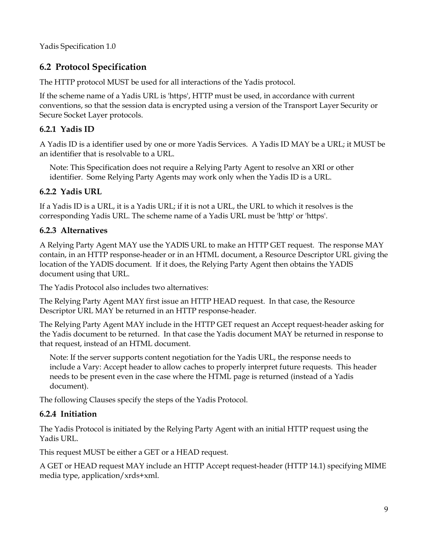### **6.2 Protocol Specification**

The HTTP protocol MUST be used for all interactions of the Yadis protocol.

If the scheme name of a Yadis URL is 'https', HTTP must be used, in accordance with current conventions, so that the session data is encrypted using a version of the Transport Layer Security or Secure Socket Layer protocols.

#### **6.2.1 Yadis ID**

A Yadis ID is a identifier used by one or more Yadis Services. A Yadis ID MAY be a URL; it MUST be an identifier that is resolvable to a URL.

Note: This Specification does not require a Relying Party Agent to resolve an XRI or other identifier. Some Relying Party Agents may work only when the Yadis ID is a URL.

#### **6.2.2 Yadis URL**

If a Yadis ID is a URL, it is a Yadis URL; if it is not a URL, the URL to which it resolves is the corresponding Yadis URL. The scheme name of a Yadis URL must be 'http' or 'https'.

#### **6.2.3 Alternatives**

A Relying Party Agent MAY use the YADIS URL to make an HTTP GET request. The response MAY contain, in an HTTP response-header or in an HTML document, a Resource Descriptor URL giving the location of the YADIS document. If it does, the Relying Party Agent then obtains the YADIS document using that URL.

The Yadis Protocol also includes two alternatives:

The Relying Party Agent MAY first issue an HTTP HEAD request. In that case, the Resource Descriptor URL MAY be returned in an HTTP response-header.

The Relying Party Agent MAY include in the HTTP GET request an Accept request-header asking for the Yadis document to be returned. In that case the Yadis document MAY be returned in response to that request, instead of an HTML document.

Note: If the server supports content negotiation for the Yadis URL, the response needs to include a Vary: Accept header to allow caches to properly interpret future requests. This header needs to be present even in the case where the HTML page is returned (instead of a Yadis document).

The following Clauses specify the steps of the Yadis Protocol.

### **6.2.4 Initiation**

The Yadis Protocol is initiated by the Relying Party Agent with an initial HTTP request using the Yadis URL.

This request MUST be either a GET or a HEAD request.

A GET or HEAD request MAY include an HTTP Accept request-header (HTTP 14.1) specifying MIME media type, application/xrds+xml.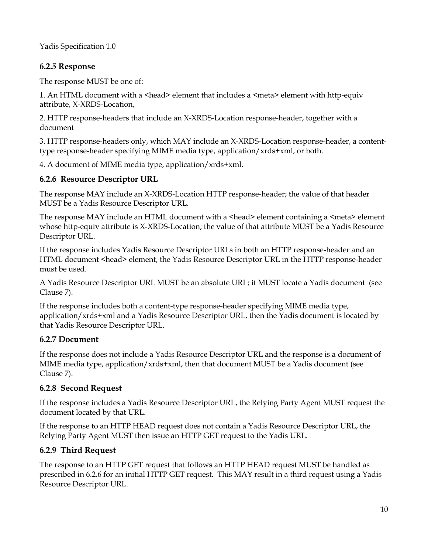#### **6.2.5 Response**

The response MUST be one of:

1. An HTML document with a  $\alpha$  -head element that includes a  $\alpha$  and  $\alpha$  element with http-equiv attribute, X-XRDS-Location,

2. HTTP response-headers that include an X-XRDS-Location response-header, together with a document

3. HTTP response-headers only, which MAY include an X-XRDS-Location response-header, a contenttype response-header specifying MIME media type, application/xrds+xml, or both.

4. A document of MIME media type, application/xrds+xml.

#### **6.2.6 Resource Descriptor URL**

The response MAY include an X-XRDS-Location HTTP response-header; the value of that header MUST be a Yadis Resource Descriptor URL.

The response MAY include an HTML document with a <head> element containing a <meta> element whose http-equiv attribute is X-XRDS-Location; the value of that attribute MUST be a Yadis Resource Descriptor URL.

If the response includes Yadis Resource Descriptor URLs in both an HTTP response-header and an HTML document <head> element, the Yadis Resource Descriptor URL in the HTTP response-header must be used.

A Yadis Resource Descriptor URL MUST be an absolute URL; it MUST locate a Yadis document (see Clause 7).

If the response includes both a content-type response-header specifying MIME media type, application/xrds+xml and a Yadis Resource Descriptor URL, then the Yadis document is located by that Yadis Resource Descriptor URL.

#### **6.2.7 Document**

If the response does not include a Yadis Resource Descriptor URL and the response is a document of MIME media type, application/xrds+xml, then that document MUST be a Yadis document (see Clause 7).

#### **6.2.8 Second Request**

If the response includes a Yadis Resource Descriptor URL, the Relying Party Agent MUST request the document located by that URL.

If the response to an HTTP HEAD request does not contain a Yadis Resource Descriptor URL, the Relying Party Agent MUST then issue an HTTP GET request to the Yadis URL.

#### **6.2.9 Third Request**

The response to an HTTP GET request that follows an HTTP HEAD request MUST be handled as prescribed in 6.2.6 for an initial HTTP GET request. This MAY result in a third request using a Yadis Resource Descriptor URL.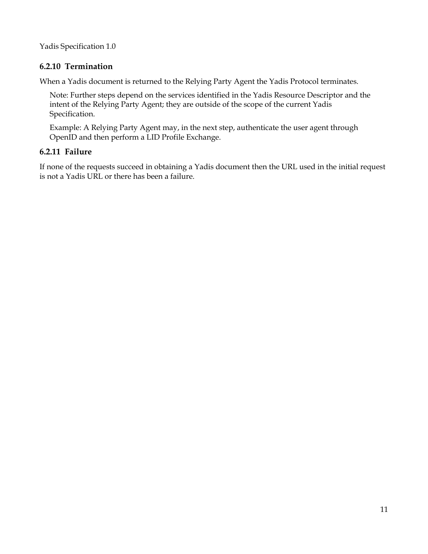#### **6.2.10 Termination**

When a Yadis document is returned to the Relying Party Agent the Yadis Protocol terminates.

Note: Further steps depend on the services identified in the Yadis Resource Descriptor and the intent of the Relying Party Agent; they are outside of the scope of the current Yadis Specification.

Example: A Relying Party Agent may, in the next step, authenticate the user agent through OpenID and then perform a LID Profile Exchange.

#### **6.2.11 Failure**

If none of the requests succeed in obtaining a Yadis document then the URL used in the initial request is not a Yadis URL or there has been a failure.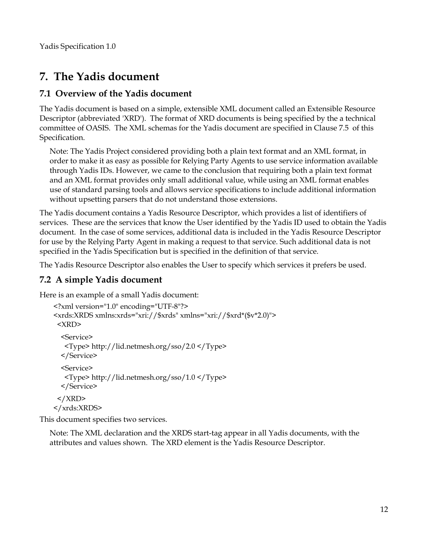# **7. The Yadis document**

### **7.1 Overview of the Yadis document**

The Yadis document is based on a simple, extensible XML document called an Extensible Resource Descriptor (abbreviated 'XRD'). The format of XRD documents is being specified by the a technical committee of OASIS. The XML schemas for the Yadis document are specified in Clause 7.5 of this Specification.

Note: The Yadis Project considered providing both a plain text format and an XML format, in order to make it as easy as possible for Relying Party Agents to use service information available through Yadis IDs. However, we came to the conclusion that requiring both a plain text format and an XML format provides only small additional value, while using an XML format enables use of standard parsing tools and allows service specifications to include additional information without upsetting parsers that do not understand those extensions.

The Yadis document contains a Yadis Resource Descriptor, which provides a list of identifiers of services. These are the services that know the User identified by the Yadis ID used to obtain the Yadis document. In the case of some services, additional data is included in the Yadis Resource Descriptor for use by the Relying Party Agent in making a request to that service. Such additional data is not specified in the Yadis Specification but is specified in the definition of that service.

The Yadis Resource Descriptor also enables the User to specify which services it prefers be used.

### **7.2 A simple Yadis document**

Here is an example of a small Yadis document:

```
<?xml version="1.0" encoding="UTF-8"?>
<xrds:XRDS xmlns:xrds="xri://$xrds" xmlns="xri://$xrd*($v*2.0)">
 <XRD>
  <Service>
   <Type> http://lid.netmesh.org/sso/2.0 </Type>
  </Service>
  <Service>
   <Type> http://lid.netmesh.org/sso/1.0 </Type>
  </Service>
 </XRD>
</xrds:XRDS>
```
This document specifies two services.

Note: The XML declaration and the XRDS start-tag appear in all Yadis documents, with the attributes and values shown. The XRD element is the Yadis Resource Descriptor.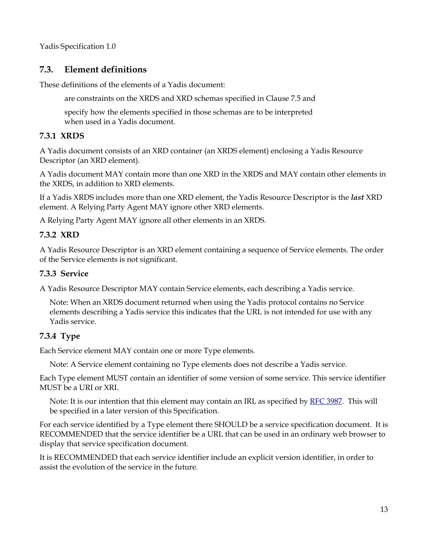### **7.3. Element definitions**

These definitions of the elements of a Yadis document:

are constraints on the XRDS and XRD schemas specified in Clause 7.5 and

specify how the elements specified in those schemas are to be interpreted when used in a Yadis document.

#### **7.3.1 XRDS**

A Yadis document consists of an XRD container (an XRDS element) enclosing a Yadis Resource Descriptor (an XRD element).

A Yadis document MAY contain more than one XRD in the XRDS and MAY contain other elements in the XRDS, in addition to XRD elements.

If a Yadis XRDS includes more than one XRD element, the Yadis Resource Descriptor is the *last* XRD element. A Relying Party Agent MAY ignore other XRD elements.

A Relying Party Agent MAY ignore all other elements in an XRDS.

#### **7.3.2 XRD**

A Yadis Resource Descriptor is an XRD element containing a sequence of Service elements. The order of the Service elements is not significant.

#### **7.3.3 Service**

A Yadis Resource Descriptor MAY contain Service elements, each describing a Yadis service.

Note: When an XRDS document returned when using the Yadis protocol contains no Service elements describing a Yadis service this indicates that the URL is not intended for use with any Yadis service.

### **7.3.4 Type**

Each Service element MAY contain one or more Type elements.

Note: A Service element containing no Type elements does not describe a Yadis service.

Each Type element MUST contain an identifier of some version of some service. This service identifier MUST be a URI or XRI.

Note: It is our intention that this element may contain an IRI, as specified by <u>RFC 3987</u>. This will be specified in a later version of this Specification.

For each service identified by a Type element there SHOULD be a service specification document. It is RECOMMENDED that the service identifier be a URL that can be used in an ordinary web browser to display that service specification document.

It is RECOMMENDED that each service identifier include an explicit version identifier, in order to assist the evolution of the service in the future.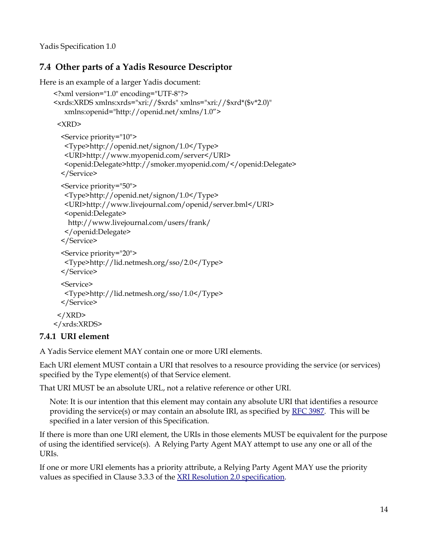### **7.4 Other parts of a Yadis Resource Descriptor**

```
Here is an example of a larger Yadis document:
    <?xml version="1.0" encoding="UTF-8"?>
    <xrds:XRDS xmlns:xrds="xri://$xrds" xmlns="xri://$xrd*($v*2.0)"
       xmlns:openid="http://openid.net/xmlns/1.0">
     <XRD>
      <Service priority="10">
       <Type>http://openid.net/signon/1.0</Type>
       <URI>http://www.myopenid.com/server</URI>
       <openid:Delegate>http://smoker.myopenid.com/</openid:Delegate>
      </Service>
      <Service priority="50">
       <Type>http://openid.net/signon/1.0</Type>
       <URI>http://www.livejournal.com/openid/server.bml</URI>
       <openid:Delegate>
       http://www.livejournal.com/users/frank/
       </openid:Delegate>
      </Service>
      <Service priority="20">
       <Type>http://lid.netmesh.org/sso/2.0</Type>
      </Service>
     <Service>
       <Type>http://lid.netmesh.org/sso/1.0</Type>
      </Service>
     </XRD>
    </xrds:XRDS>
```
#### **7.4.1 URI element**

A Yadis Service element MAY contain one or more URI elements.

Each URI element MUST contain a URI that resolves to a resource providing the service (or services) specified by the Type element(s) of that Service element.

That URI MUST be an absolute URL, not a relative reference or other URI.

Note: It is our intention that this element may contain any absolute URI that identifies a resource providing the service(s) or may contain an absolute IRI, as specified by [RFC 3987.](http://www.ietf.org/rfc/rfc3987.txt) This will be specified in a later version of this Specification.

If there is more than one URI element, the URIs in those elements MUST be equivalent for the purpose of using the identified service(s). A Relying Party Agent MAY attempt to use any one or all of the URIs.

If one or more URI elements has a priority attribute, a Relying Party Agent MAY use the priority values as specified in Clause 3.3.3 of the [XRI Resolution 2.0 specification](http://yadis.org/wiki/XRI_Resolution_2.0_specification).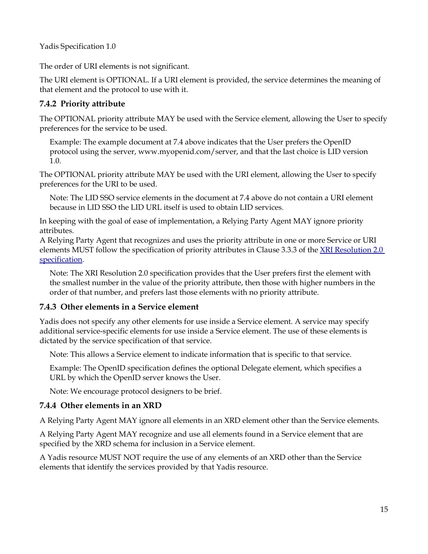The order of URI elements is not significant.

The URI element is OPTIONAL. If a URI element is provided, the service determines the meaning of that element and the protocol to use with it.

#### **7.4.2 Priority attribute**

The OPTIONAL priority attribute MAY be used with the Service element, allowing the User to specify preferences for the service to be used.

Example: The example document at 7.4 above indicates that the User prefers the OpenID protocol using the server, www.myopenid.com/server, and that the last choice is LID version 1.0.

The OPTIONAL priority attribute MAY be used with the URI element, allowing the User to specify preferences for the URI to be used.

Note: The LID SSO service elements in the document at 7.4 above do not contain a URI element because in LID SSO the LID URL itself is used to obtain LID services.

In keeping with the goal of ease of implementation, a Relying Party Agent MAY ignore priority attributes.

A Relying Party Agent that recognizes and uses the priority attribute in one or more Service or URI elements MUST follow the specification of priority attributes in Clause 3.3.3 of the [XRI Resolution 2.0](http://yadis.org/wiki/XRI_Resolution_2.0_specification) [specification.](http://yadis.org/wiki/XRI_Resolution_2.0_specification)

Note: The XRI Resolution 2.0 specification provides that the User prefers first the element with the smallest number in the value of the priority attribute, then those with higher numbers in the order of that number, and prefers last those elements with no priority attribute.

#### **7.4.3 Other elements in a Service element**

Yadis does not specify any other elements for use inside a Service element. A service may specify additional service-specific elements for use inside a Service element. The use of these elements is dictated by the service specification of that service.

Note: This allows a Service element to indicate information that is specific to that service.

Example: The OpenID specification defines the optional Delegate element, which specifies a URL by which the OpenID server knows the User.

Note: We encourage protocol designers to be brief.

#### **7.4.4 Other elements in an XRD**

A Relying Party Agent MAY ignore all elements in an XRD element other than the Service elements.

A Relying Party Agent MAY recognize and use all elements found in a Service element that are specified by the XRD schema for inclusion in a Service element.

A Yadis resource MUST NOT require the use of any elements of an XRD other than the Service elements that identify the services provided by that Yadis resource.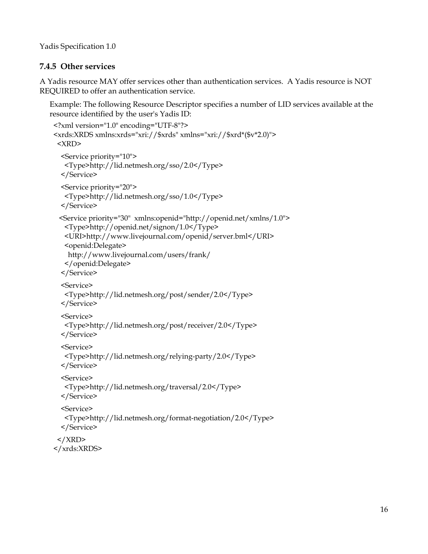#### **7.4.5 Other services**

A Yadis resource MAY offer services other than authentication services. A Yadis resource is NOT REQUIRED to offer an authentication service.

Example: The following Resource Descriptor specifies a number of LID services available at the resource identified by the user's Yadis ID:

```
<?xml version="1.0" encoding="UTF-8"?>
<xrds:XRDS xmlns:xrds="xri://$xrds" xmlns="xri://$xrd*($v*2.0)">
 <XRD>
  <Service priority="10">
   <Type>http://lid.netmesh.org/sso/2.0</Type>
  </Service>
  <Service priority="20">
   <Type>http://lid.netmesh.org/sso/1.0</Type>
  </Service>
 <Service priority="30" xmlns:openid="http://openid.net/xmlns/1.0">
   <Type>http://openid.net/signon/1.0</Type>
   <URI>http://www.livejournal.com/openid/server.bml</URI>
   <openid:Delegate>
   http://www.livejournal.com/users/frank/
   </openid:Delegate>
  </Service>
  <Service>
   <Type>http://lid.netmesh.org/post/sender/2.0</Type>
  </Service>
  <Service>
   <Type>http://lid.netmesh.org/post/receiver/2.0</Type>
  </Service>
  <Service>
   <Type>http://lid.netmesh.org/relying-party/2.0</Type>
  </Service>
  <Service>
   <Type>http://lid.netmesh.org/traversal/2.0</Type>
  </Service>
  <Service>
   <Type>http://lid.netmesh.org/format-negotiation/2.0</Type>
  </Service>
 </XRD>
</xrds:XRDS>
```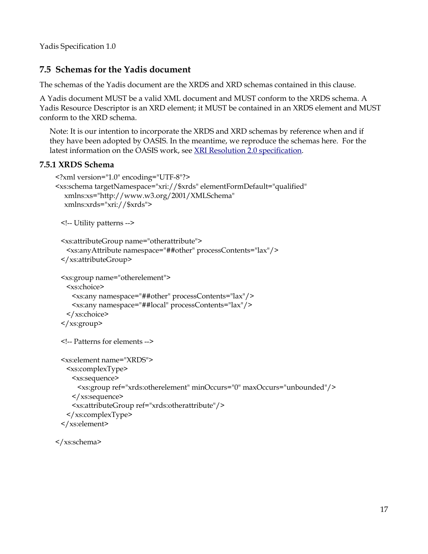#### **7.5 Schemas for the Yadis document**

The schemas of the Yadis document are the XRDS and XRD schemas contained in this clause.

A Yadis document MUST be a valid XML document and MUST conform to the XRDS schema. A Yadis Resource Descriptor is an XRD element; it MUST be contained in an XRDS element and MUST conform to the XRD schema.

Note: It is our intention to incorporate the XRDS and XRD schemas by reference when and if they have been adopted by OASIS. In the meantime, we reproduce the schemas here. For the latest information on the OASIS work, see [XRI Resolution 2.0 specification.](http://yadis.org/wiki/XRI_Resolution_2.0_specification)

#### **7.5.1 XRDS Schema**

```
<?xml version="1.0" encoding="UTF-8"?>
<xs:schema targetNamespace="xri://$xrds" elementFormDefault="qualified"
  xmlns:xs="http://www.w3.org/2001/XMLSchema"
  xmlns:xrds="xri://$xrds">
 <!-- Utility patterns -->
 <xs:attributeGroup name="otherattribute">
   <xs:anyAttribute namespace="##other" processContents="lax"/>
 </xs:attributeGroup>
 <xs:group name="otherelement">
   <xs:choice>
    <xs:any namespace="##other" processContents="lax"/>
    <xs:any namespace="##local" processContents="lax"/>
   </xs:choice>
 </xs:group>
 <!-- Patterns for elements -->
 <xs:element name="XRDS">
   <xs:complexType>
    <xs:sequence>
      <xs:group ref="xrds:otherelement" minOccurs="0" maxOccurs="unbounded"/>
    </xs:sequence>
    <xs:attributeGroup ref="xrds:otherattribute"/>
   </xs:complexType>
 </xs:element>
```
</xs:schema>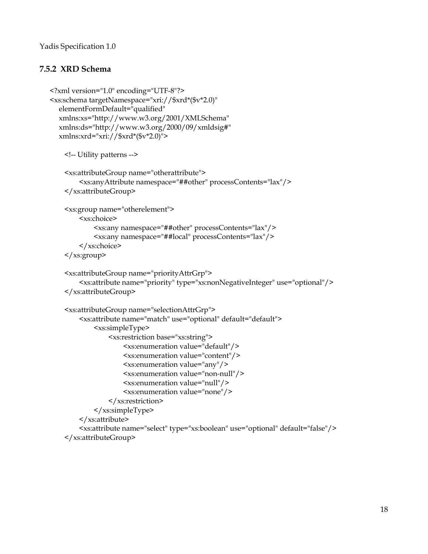#### **7.5.2 XRD Schema**

```
<?xml version="1.0" encoding="UTF-8"?>
<xs:schema targetNamespace="xri://$xrd*($v*2.0)"
  elementFormDefault="qualified" 
  xmlns:xs="http://www.w3.org/2001/XMLSchema"
  xmlns:ds="http://www.w3.org/2000/09/xmldsig#"
  xmlns:xrd="xri://$xrd*($v*2.0)">
    <!-- Utility patterns -->
    <xs:attributeGroup name="otherattribute">
        <xs:anyAttribute namespace="##other" processContents="lax"/>
    </xs:attributeGroup>
    <xs:group name="otherelement">
        <xs:choice>
            <xs:any namespace="##other" processContents="lax"/>
            <xs:any namespace="##local" processContents="lax"/>
        </xs:choice>
    </xs:group>
    <xs:attributeGroup name="priorityAttrGrp">
        <xs:attribute name="priority" type="xs:nonNegativeInteger" use="optional"/>
    </xs:attributeGroup>
    <xs:attributeGroup name="selectionAttrGrp">
        <xs:attribute name="match" use="optional" default="default">
            <xs:simpleType>
                 <xs:restriction base="xs:string">
                     <xs:enumeration value="default"/>
                     <xs:enumeration value="content"/>
                     <xs:enumeration value="any"/>
                     <xs:enumeration value="non-null"/>
                     <xs:enumeration value="null"/>
                     <xs:enumeration value="none"/>
                 </xs:restriction>
            </xs:simpleType>
        </xs:attribute>
        <xs:attribute name="select" type="xs:boolean" use="optional" default="false"/>
    </xs:attributeGroup>
```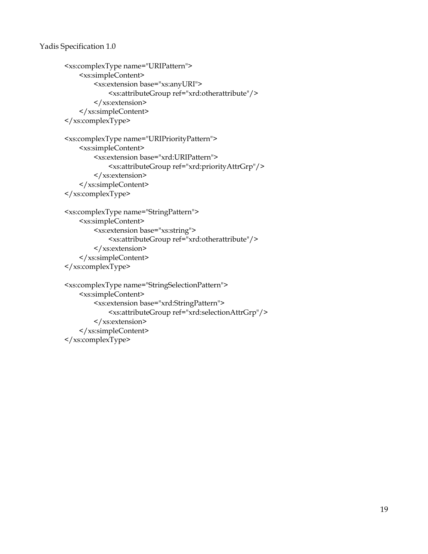```
Yadis Specification 1.0
```

```
<xs:complexType name="URIPattern">
    <xs:simpleContent>
        <xs:extension base="xs:anyURI">
            <xs:attributeGroup ref="xrd:otherattribute"/>
        </xs:extension>
    </xs:simpleContent>
</xs:complexType>
```

```
<xs:complexType name="URIPriorityPattern">
    <xs:simpleContent>
        <xs:extension base="xrd:URIPattern">
            <xs:attributeGroup ref="xrd:priorityAttrGrp"/>
        </xs:extension>
    </xs:simpleContent>
</xs:complexType>
```

```
<xs:complexType name="StringPattern">
    <xs:simpleContent>
        <xs:extension base="xs:string">
            <xs:attributeGroup ref="xrd:otherattribute"/>
        </xs:extension>
    </xs:simpleContent>
</xs:complexType>
```

```
<xs:complexType name="StringSelectionPattern">
    <xs:simpleContent>
        <xs:extension base="xrd:StringPattern">
            <xs:attributeGroup ref="xrd:selectionAttrGrp"/>
        </xs:extension>
    </xs:simpleContent>
</xs:complexType>
```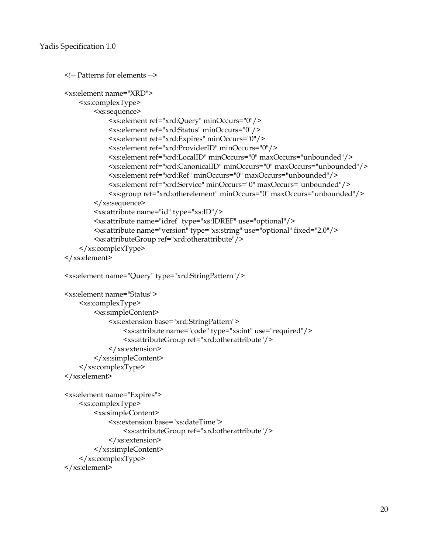```
<!-- Patterns for elements -->
<xs:element name="XRD">
    <xs:complexType>
        <xs:sequence>
            <xs:element ref="xrd:Query" minOccurs="0"/>
            <xs:element ref="xrd:Status" minOccurs="0"/>
            <xs:element ref="xrd:Expires" minOccurs="0"/>
            <xs:element ref="xrd:ProviderID" minOccurs="0"/>
            <xs:element ref="xrd:LocalID" minOccurs="0" maxOccurs="unbounded"/>
            <xs:element ref="xrd:CanonicalID" minOccurs="0" maxOccurs="unbounded"/>
            <xs:element ref="xrd:Ref" minOccurs="0" maxOccurs="unbounded"/>
            <xs:element ref="xrd:Service" minOccurs="0" maxOccurs="unbounded"/>
            <xs:group ref="xrd:otherelement" minOccurs="0" maxOccurs="unbounded"/>
        </xs:sequence>
        <xs:attribute name="id" type="xs:ID"/>
        <xs:attribute name="idref" type="xs:IDREF" use="optional"/>
        <xs:attribute name="version" type="xs:string" use="optional" fixed="2.0"/>
        <xs:attributeGroup ref="xrd:otherattribute"/>
    </xs:complexType>
</xs:element>
<xs:element name="Query" type="xrd:StringPattern"/>
<xs:element name="Status">
    <xs:complexType>
        <xs:simpleContent>
            <xs:extension base="xrd:StringPattern">
                <xs:attribute name="code" type="xs:int" use="required"/>
                <xs:attributeGroup ref="xrd:otherattribute"/>
            </xs:extension>
        </xs:simpleContent>
    </xs:complexType>
</xs:element>
<xs:element name="Expires">
    <xs:complexType>
        <xs:simpleContent>
            <xs:extension base="xs:dateTime">
                <xs:attributeGroup ref="xrd:otherattribute"/>
            </xs:extension>
        </xs:simpleContent>
    </xs:complexType>
</xs:element>
```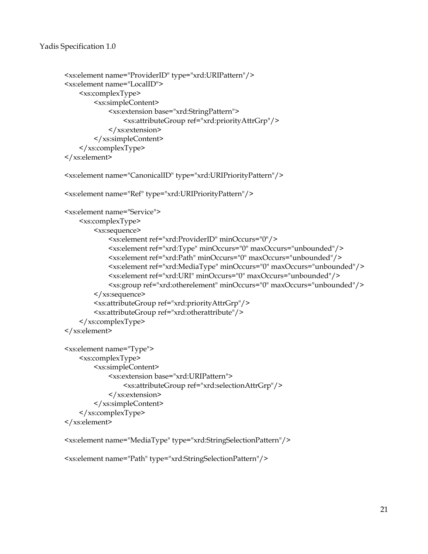```
<xs:element name="ProviderID" type="xrd:URIPattern"/>
<xs:element name="LocalID">
    <xs:complexType>
        <xs:simpleContent>
            <xs:extension base="xrd:StringPattern">
                <xs:attributeGroup ref="xrd:priorityAttrGrp"/>
            </xs:extension>
        </xs:simpleContent>
    </xs:complexType>
</xs:element>
<xs:element name="CanonicalID" type="xrd:URIPriorityPattern"/>
<xs:element name="Ref" type="xrd:URIPriorityPattern"/>
<xs:element name="Service">
    <xs:complexType>
        <xs:sequence>
            <xs:element ref="xrd:ProviderID" minOccurs="0"/>
            <xs:element ref="xrd:Type" minOccurs="0" maxOccurs="unbounded"/>
            <xs:element ref="xrd:Path" minOccurs="0" maxOccurs="unbounded"/>
            <xs:element ref="xrd:MediaType" minOccurs="0" maxOccurs="unbounded"/>
            <xs:element ref="xrd:URI" minOccurs="0" maxOccurs="unbounded"/>
            <xs:group ref="xrd:otherelement" minOccurs="0" maxOccurs="unbounded"/>
        </xs:sequence>
        <xs:attributeGroup ref="xrd:priorityAttrGrp"/>
        <xs:attributeGroup ref="xrd:otherattribute"/>
    </xs:complexType>
</xs:element>
<xs:element name="Type">
    <xs:complexType>
        <xs:simpleContent>
            <xs:extension base="xrd:URIPattern">
                <xs:attributeGroup ref="xrd:selectionAttrGrp"/>
            </xs:extension>
        </xs:simpleContent>
    </xs:complexType>
</xs:element>
<xs:element name="MediaType" type="xrd:StringSelectionPattern"/>
```

```
<xs:element name="Path" type="xrd:StringSelectionPattern"/>
```